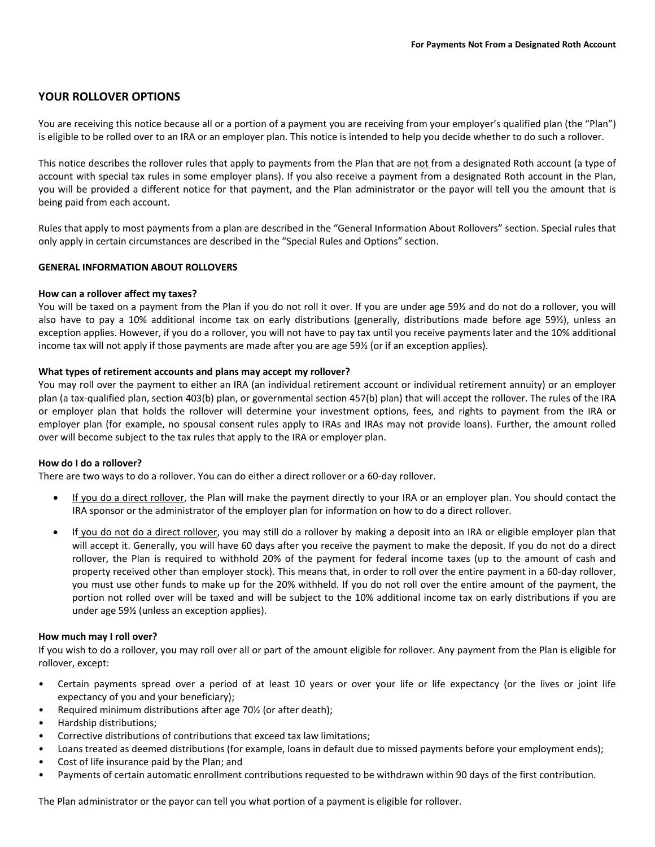# **YOUR ROLLOVER OPTIONS**

You are receiving this notice because all or a portion of a payment you are receiving from your employer's qualified plan (the "Plan") is eligible to be rolled over to an IRA or an employer plan. This notice is intended to help you decide whether to do such a rollover.

This notice describes the rollover rules that apply to payments from the Plan that are not from a designated Roth account (a type of account with special tax rules in some employer plans). If you also receive a payment from a designated Roth account in the Plan, you will be provided a different notice for that payment, and the Plan administrator or the payor will tell you the amount that is being paid from each account.

Rules that apply to most payments from a plan are described in the "General Information About Rollovers" section. Special rules that only apply in certain circumstances are described in the "Special Rules and Options" section.

# **GENERAL INFORMATION ABOUT ROLLOVERS**

## **How can a rollover affect my taxes?**

You will be taxed on a payment from the Plan if you do not roll it over. If you are under age 59½ and do not do a rollover, you will also have to pay a 10% additional income tax on early distributions (generally, distributions made before age 59%), unless an exception applies. However, if you do a rollover, you will not have to pay tax until you receive payments later and the 10% additional income tax will not apply if those payments are made after you are age 59½ (or if an exception applies).

## **What types of retirement accounts and plans may accept my rollover?**

You may roll over the payment to either an IRA (an individual retirement account or individual retirement annuity) or an employer plan (a tax‐qualified plan, section 403(b) plan, or governmental section 457(b) plan) that will accept the rollover. The rules of the IRA or employer plan that holds the rollover will determine your investment options, fees, and rights to payment from the IRA or employer plan (for example, no spousal consent rules apply to IRAs and IRAs may not provide loans). Further, the amount rolled over will become subject to the tax rules that apply to the IRA or employer plan.

## **How do I do a rollover?**

There are two ways to do a rollover. You can do either a direct rollover or a 60-day rollover.

- If you do a direct rollover, the Plan will make the payment directly to your IRA or an employer plan. You should contact the IRA sponsor or the administrator of the employer plan for information on how to do a direct rollover.
- If you do not do a direct rollover, you may still do a rollover by making a deposit into an IRA or eligible employer plan that will accept it. Generally, you will have 60 days after you receive the payment to make the deposit. If you do not do a direct rollover, the Plan is required to withhold 20% of the payment for federal income taxes (up to the amount of cash and property received other than employer stock). This means that, in order to roll over the entire payment in a 60-day rollover, you must use other funds to make up for the 20% withheld. If you do not roll over the entire amount of the payment, the portion not rolled over will be taxed and will be subject to the 10% additional income tax on early distributions if you are under age 59½ (unless an exception applies).

## **How much may I roll over?**

If you wish to do a rollover, you may roll over all or part of the amount eligible for rollover. Any payment from the Plan is eligible for rollover, except:

- Certain payments spread over a period of at least 10 years or over your life or life expectancy (or the lives or joint life expectancy of you and your beneficiary);
- Required minimum distributions after age 70% (or after death);
- Hardship distributions;
- Corrective distributions of contributions that exceed tax law limitations;
- Loans treated as deemed distributions (for example, loans in default due to missed payments before your employment ends);
- Cost of life insurance paid by the Plan; and
- Payments of certain automatic enrollment contributions requested to be withdrawn within 90 days of the first contribution.

The Plan administrator or the payor can tell you what portion of a payment is eligible for rollover.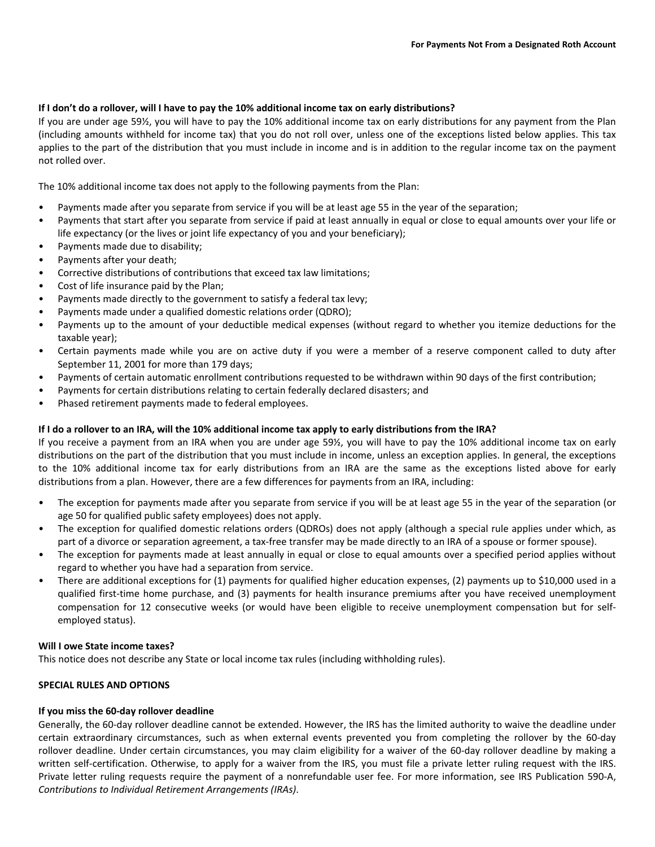## **If I don't do a rollover, will I have to pay the 10% additional income tax on early distributions?**

If you are under age 59½, you will have to pay the 10% additional income tax on early distributions for any payment from the Plan (including amounts withheld for income tax) that you do not roll over, unless one of the exceptions listed below applies. This tax applies to the part of the distribution that you must include in income and is in addition to the regular income tax on the payment not rolled over.

The 10% additional income tax does not apply to the following payments from the Plan:

- Payments made after you separate from service if you will be at least age 55 in the year of the separation;
- Payments that start after you separate from service if paid at least annually in equal or close to equal amounts over your life or life expectancy (or the lives or joint life expectancy of you and your beneficiary);
- Payments made due to disability;
- Payments after your death;
- Corrective distributions of contributions that exceed tax law limitations;
- Cost of life insurance paid by the Plan;
- Payments made directly to the government to satisfy a federal tax levy;
- Payments made under a qualified domestic relations order (QDRO);
- Payments up to the amount of your deductible medical expenses (without regard to whether you itemize deductions for the taxable year);
- Certain payments made while you are on active duty if you were a member of a reserve component called to duty after September 11, 2001 for more than 179 days;
- Payments of certain automatic enrollment contributions requested to be withdrawn within 90 days of the first contribution;
- Payments for certain distributions relating to certain federally declared disasters; and
- Phased retirement payments made to federal employees.

## **If I do a rollover to an IRA, will the 10% additional income tax apply to early distributions from the IRA?**

If you receive a payment from an IRA when you are under age 59½, you will have to pay the 10% additional income tax on early distributions on the part of the distribution that you must include in income, unless an exception applies. In general, the exceptions to the 10% additional income tax for early distributions from an IRA are the same as the exceptions listed above for early distributions from a plan. However, there are a few differences for payments from an IRA, including:

- The exception for payments made after you separate from service if you will be at least age 55 in the year of the separation (or age 50 for qualified public safety employees) does not apply.
- The exception for qualified domestic relations orders (QDROs) does not apply (although a special rule applies under which, as part of a divorce or separation agreement, a tax-free transfer may be made directly to an IRA of a spouse or former spouse).
- The exception for payments made at least annually in equal or close to equal amounts over a specified period applies without regard to whether you have had a separation from service.
- There are additional exceptions for (1) payments for qualified higher education expenses, (2) payments up to \$10,000 used in a qualified first-time home purchase, and (3) payments for health insurance premiums after you have received unemployment compensation for 12 consecutive weeks (or would have been eligible to receive unemployment compensation but for selfemployed status).

## **Will I owe State income taxes?**

This notice does not describe any State or local income tax rules (including withholding rules).

# **SPECIAL RULES AND OPTIONS**

## **If you miss the 60‐day rollover deadline**

Generally, the 60‐day rollover deadline cannot be extended. However, the IRS has the limited authority to waive the deadline under certain extraordinary circumstances, such as when external events prevented you from completing the rollover by the 60‐day rollover deadline. Under certain circumstances, you may claim eligibility for a waiver of the 60‐day rollover deadline by making a written self-certification. Otherwise, to apply for a waiver from the IRS, you must file a private letter ruling request with the IRS. Private letter ruling requests require the payment of a nonrefundable user fee. For more information, see IRS Publication 590-A, *Contributions to Individual Retirement Arrangements (IRAs)*.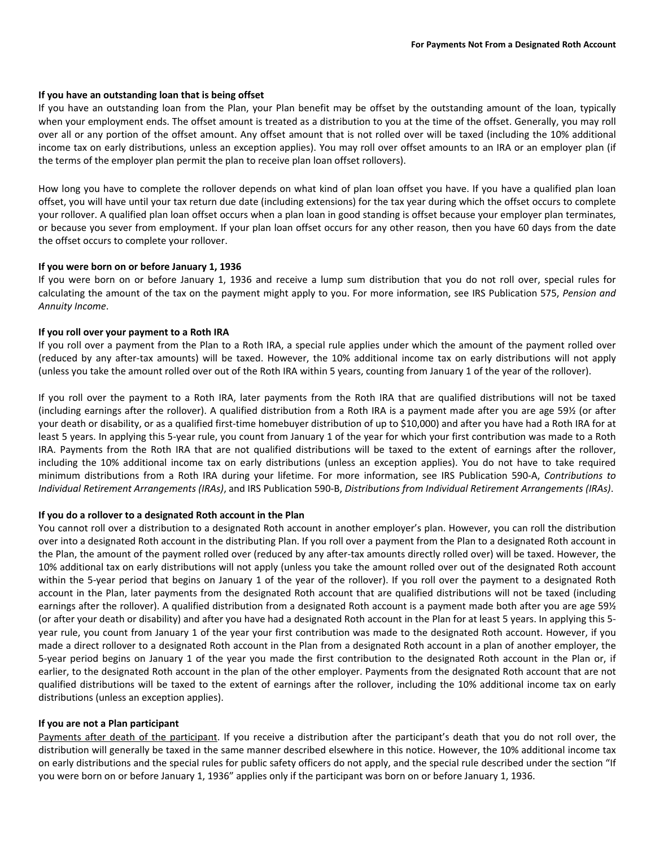#### **If you have an outstanding loan that is being offset**

If you have an outstanding loan from the Plan, your Plan benefit may be offset by the outstanding amount of the loan, typically when your employment ends. The offset amount is treated as a distribution to you at the time of the offset. Generally, you may roll over all or any portion of the offset amount. Any offset amount that is not rolled over will be taxed (including the 10% additional income tax on early distributions, unless an exception applies). You may roll over offset amounts to an IRA or an employer plan (if the terms of the employer plan permit the plan to receive plan loan offset rollovers).

How long you have to complete the rollover depends on what kind of plan loan offset you have. If you have a qualified plan loan offset, you will have until your tax return due date (including extensions) for the tax year during which the offset occurs to complete your rollover. A qualified plan loan offset occurs when a plan loan in good standing is offset because your employer plan terminates, or because you sever from employment. If your plan loan offset occurs for any other reason, then you have 60 days from the date the offset occurs to complete your rollover.

#### **If you were born on or before January 1, 1936**

If you were born on or before January 1, 1936 and receive a lump sum distribution that you do not roll over, special rules for calculating the amount of the tax on the payment might apply to you. For more information, see IRS Publication 575, *Pension and Annuity Income*.

#### **If you roll over your payment to a Roth IRA**

If you roll over a payment from the Plan to a Roth IRA, a special rule applies under which the amount of the payment rolled over (reduced by any after‐tax amounts) will be taxed. However, the 10% additional income tax on early distributions will not apply (unless you take the amount rolled over out of the Roth IRA within 5 years, counting from January 1 of the year of the rollover).

If you roll over the payment to a Roth IRA, later payments from the Roth IRA that are qualified distributions will not be taxed (including earnings after the rollover). A qualified distribution from a Roth IRA is a payment made after you are age 59½ (or after your death or disability, or as a qualified first-time homebuyer distribution of up to \$10,000) and after you have had a Roth IRA for at least 5 years. In applying this 5‐year rule, you count from January 1 of the year for which your first contribution was made to a Roth IRA. Payments from the Roth IRA that are not qualified distributions will be taxed to the extent of earnings after the rollover, including the 10% additional income tax on early distributions (unless an exception applies). You do not have to take required minimum distributions from a Roth IRA during your lifetime. For more information, see IRS Publication 590‐A, *Contributions to Individual Retirement Arrangements (IRAs)*, and IRS Publication 590‐B, *Distributions from Individual Retirement Arrangements (IRAs)*.

## **If you do a rollover to a designated Roth account in the Plan**

You cannot roll over a distribution to a designated Roth account in another employer's plan. However, you can roll the distribution over into a designated Roth account in the distributing Plan. If you roll over a payment from the Plan to a designated Roth account in the Plan, the amount of the payment rolled over (reduced by any after‐tax amounts directly rolled over) will be taxed. However, the 10% additional tax on early distributions will not apply (unless you take the amount rolled over out of the designated Roth account within the 5-year period that begins on January 1 of the year of the rollover). If you roll over the payment to a designated Roth account in the Plan, later payments from the designated Roth account that are qualified distributions will not be taxed (including earnings after the rollover). A qualified distribution from a designated Roth account is a payment made both after you are age 591/2 (or after your death or disability) and after you have had a designated Roth account in the Plan for at least 5 years. In applying this 5‐ year rule, you count from January 1 of the year your first contribution was made to the designated Roth account. However, if you made a direct rollover to a designated Roth account in the Plan from a designated Roth account in a plan of another employer, the 5-year period begins on January 1 of the year you made the first contribution to the designated Roth account in the Plan or, if earlier, to the designated Roth account in the plan of the other employer. Payments from the designated Roth account that are not qualified distributions will be taxed to the extent of earnings after the rollover, including the 10% additional income tax on early distributions (unless an exception applies).

#### **If you are not a Plan participant**

Payments after death of the participant. If you receive a distribution after the participant's death that you do not roll over, the distribution will generally be taxed in the same manner described elsewhere in this notice. However, the 10% additional income tax on early distributions and the special rules for public safety officers do not apply, and the special rule described under the section "If you were born on or before January 1, 1936" applies only if the participant was born on or before January 1, 1936.